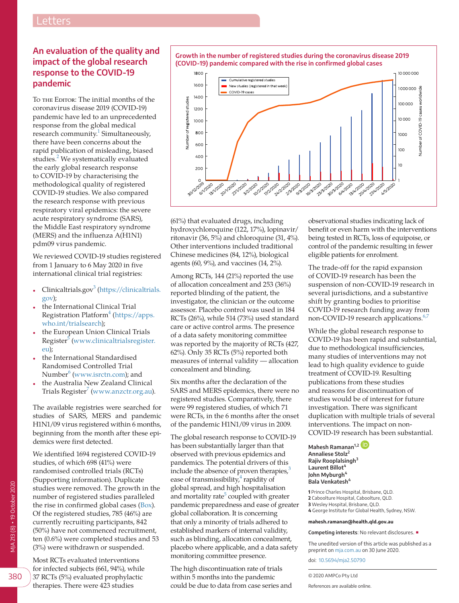## **An evaluation of the quality and impact of the global research response to the COVID-19 pandemic**

To THE EDITOR: The initial months of the coronavirus disease 2019 (COVID-19) pandemic have led to an unprecedented response from the global medical research community.<sup>[1](#page-1-0)</sup> Simultaneously, there have been concerns about the rapid publication of misleading, biased studies.<sup>[2](#page-1-1)</sup> We systematically evaluated the early global research response to COVID-19 by characterising the methodological quality of registered COVID-19 studies. We also compared the research response with previous respiratory viral epidemics: the severe acute respiratory syndrome (SARS), the Middle East respiratory syndrome (MERS) and the influenza A(H1N1) pdm09 virus pandemic.

We reviewed COVID-19 studies registered from 1 January to 6 May 2020 in five international clinical trial registries:

- Clinicaltrials.gov<sup>3</sup> [\(https://clinicaltrials.](https://clinicaltrials.gov) [gov\)](https://clinicaltrials.gov);
- the International Clinical Trial Registration Platform<sup>[4](#page-1-3)</sup> [\(https://apps.](https://apps.who.int/trialsearch) [who.int/trialsearch\)](https://apps.who.int/trialsearch);
- the European Union Clinical Trials Register<sup>5</sup> [\(www.clinicaltrialsregister.](http://www.clinicaltrialsregister.eu) [eu\)](http://www.clinicaltrialsregister.eu);
- the International Standardised Randomised Controlled Trial Number $^6$  $^6$  [\(www.isrctn.com](http://www.isrctn.com)); and
- the Australia New Zealand Clinical Trials Register $^7$  $^7$  [\(www.anzctr.org.au](http://www.anzctr.org.au)).

The available registries were searched for studies of SARS, MERS and pandemic H1N1/09 virus registered within 6 months, beginning from the month after these epidemics were first detected.

We identified 1694 registered COVID-19 studies, of which 698 (41%) were randomised controlled trials (RCTs) (Supporting information). Duplicate studies were removed. The growth in the number of registered studies paralleled the rise in confirmed global cases [\(Box\)](#page-0-0). Of the registered studies, 785 (46%) are currently recruiting participants, 842 (50%) have not commenced recruitment, ten (0.6%) were completed studies and 53 (3%) were withdrawn or suspended.

Most RCTs evaluated interventions for infected subjects (661, 94%), while 37 RCTs (5%) evaluated prophylactic therapies. There were 423 studies

<span id="page-0-0"></span>

(61%) that evaluated drugs, including hydroxychloroquine (122, 17%), lopinavir/ ritonavir (36, 5%) and chloroquine (31, 4%). Other interventions included traditional Chinese medicines (84, 12%), biological agents (60, 9%), and vaccines (14, 2%).

Among RCTs, 144 (21%) reported the use of allocation concealment and 253 (36%) reported blinding of the patient, the investigator, the clinician or the outcome assessor. Placebo control was used in 184 RCTs (26%), while 514 (73%) used standard care or active control arms. The presence of a data safety monitoring committee was reported by the majority of RCTs (427, 62%). Only 35 RCTs (5%) reported both measures of internal validity — allocation concealment and blinding.

Six months after the declaration of the SARS and MERS epidemics, there were no registered studies. Comparatively, there were 99 registered studies, of which 71 were RCTs, in the 6 months after the onset of the pandemic H1N1/09 virus in 2009.

The global research response to COVID-19 has been substantially larger than that observed with previous epidemics and pandemics. The potential drivers of this include the absence of proven therapies, $3$ ease of transmissibility, $^{4}$  rapidity of global spread, and high hospitalisation and mortality rate<sup>[5](#page-1-4)</sup> coupled with greater pandemic preparedness and ease of greater global collaboration. It is concerning that only a minority of trials adhered to established markers of internal validity, such as blinding, allocation concealment, placebo where applicable, and a data safety monitoring committee presence.

The high discontinuation rate of trials within 5 months into the pandemic could be due to data from case series and

observational studies indicating lack of benefit or even harm with the interventions being tested in RCTs, loss of equipoise, or control of the pandemic resulting in fewer eligible patients for enrolment.

The trade-off for the rapid expansion of COVID-19 research has been the suspension of non-COVID-19 research in several jurisdictions, and a substantive shift by granting bodies to prioritise COVID-19 research funding away from non-COVID-19 research applications.<sup>[6,7](#page-1-5)</sup>

While the global research response to COVID-19 has been rapid and substantial, due to methodological insufficiencies, many studies of interventions may not lead to high quality evidence to guide treatment of COVID-19. Resulting publications from these studies and reasons for discontinuation of studies would be of interest for future investigation. There was significant duplication with multiple trials of several interventions. The impact on non-COVID-19 research has been substantial.

**Mahesh Ramanan1,2 Annaliese Stolz**<sup>2</sup> **Rajiv Rooplalsingh<sup>3</sup> Laurent Billot<sup>4</sup> John Myburgh<sup>4</sup> Bala Venkatesh<sup>4</sup>**

 Prince Charles Hospital, Brisbane, QLD. Caboolture Hospital, Caboolture, QLD. Wesley Hospital, Brisbane, QLD. George Institute for Global Health, Sydney, NSW.

## **mahesh.ramanan@health.qld.gov.au**

**Competing interests**: No relevant disclosures. ■

The unedited version of this article was published as a preprint on [mja.com.au](http://mja.com.au) on 30 June 2020.

doi: [10.5694/mja2.50790](https://doi.org/10.5694/mja2.50790)

380